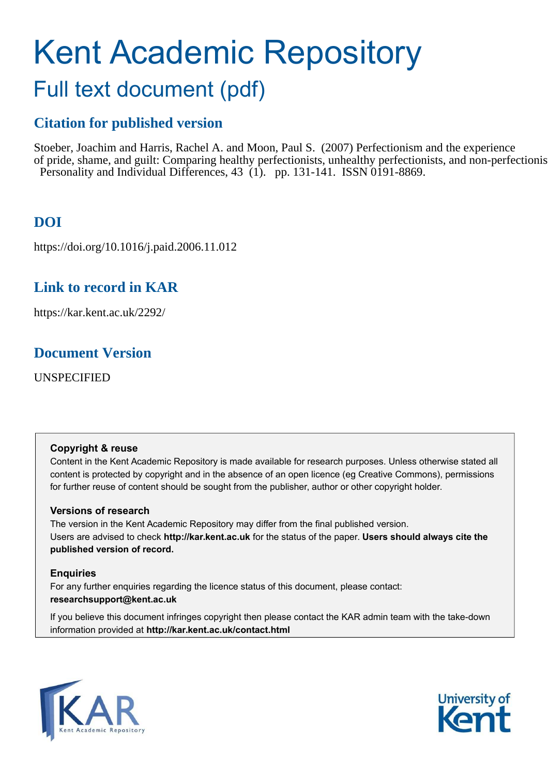# Kent Academic Repository

## Full text document (pdf)

## **Citation for published version**

Stoeber, Joachim and Harris, Rachel A. and Moon, Paul S. (2007) Perfectionism and the experience of pride, shame, and guilt: Comparing healthy perfectionists, unhealthy perfectionists, and non-perfectionists. Personality and Individual Differences, 43 (1). pp. 131-141. ISSN 0191-8869.

## **DOI**

https://doi.org/10.1016/j.paid.2006.11.012

## **Link to record in KAR**

https://kar.kent.ac.uk/2292/

### **Document Version**

UNSPECIFIED

#### **Copyright & reuse**

Content in the Kent Academic Repository is made available for research purposes. Unless otherwise stated all content is protected by copyright and in the absence of an open licence (eg Creative Commons), permissions for further reuse of content should be sought from the publisher, author or other copyright holder.

#### **Versions of research**

The version in the Kent Academic Repository may differ from the final published version. Users are advised to check **http://kar.kent.ac.uk** for the status of the paper. **Users should always cite the published version of record.**

#### **Enquiries**

For any further enquiries regarding the licence status of this document, please contact: **researchsupport@kent.ac.uk**

If you believe this document infringes copyright then please contact the KAR admin team with the take-down information provided at **http://kar.kent.ac.uk/contact.html**



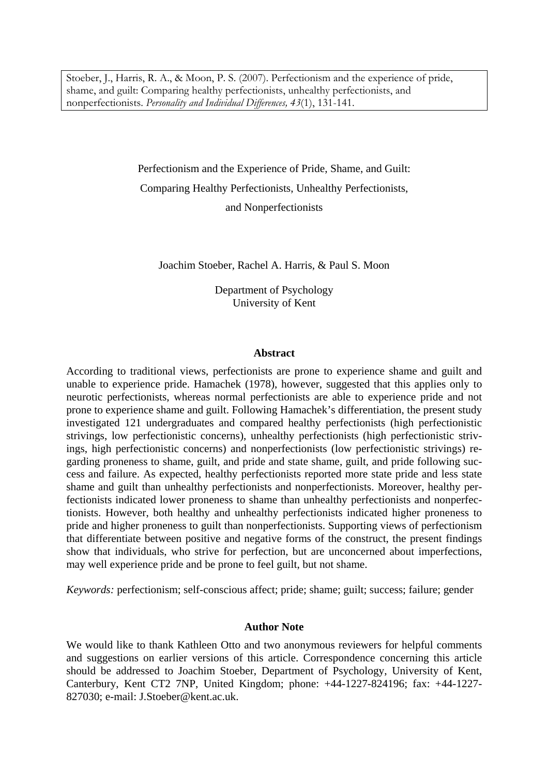Stoeber, J., Harris, R. A., & Moon, P. S. (2007). Perfectionism and the experience of pride, shame, and guilt: Comparing healthy perfectionists, unhealthy perfectionists, and nonperfectionists. *Personality and Individual Differences, 43*(1), 131-141.

> Perfectionism and the Experience of Pride, Shame, and Guilt: Comparing Healthy Perfectionists, Unhealthy Perfectionists, and Nonperfectionists

Joachim Stoeber, Rachel A. Harris, & Paul S. Moon

Department of Psychology University of Kent

#### **Abstract**

According to traditional views, perfectionists are prone to experience shame and guilt and unable to experience pride. Hamachek (1978), however, suggested that this applies only to neurotic perfectionists, whereas normal perfectionists are able to experience pride and not prone to experience shame and guilt. Following Hamachek's differentiation, the present study investigated 121 undergraduates and compared healthy perfectionists (high perfectionistic strivings, low perfectionistic concerns), unhealthy perfectionists (high perfectionistic strivings, high perfectionistic concerns) and nonperfectionists (low perfectionistic strivings) regarding proneness to shame, guilt, and pride and state shame, guilt, and pride following success and failure. As expected, healthy perfectionists reported more state pride and less state shame and guilt than unhealthy perfectionists and nonperfectionists. Moreover, healthy perfectionists indicated lower proneness to shame than unhealthy perfectionists and nonperfectionists. However, both healthy and unhealthy perfectionists indicated higher proneness to pride and higher proneness to guilt than nonperfectionists. Supporting views of perfectionism that differentiate between positive and negative forms of the construct, the present findings show that individuals, who strive for perfection, but are unconcerned about imperfections, may well experience pride and be prone to feel guilt, but not shame.

*Keywords:* perfectionism; self-conscious affect; pride; shame; guilt; success; failure; gender

#### **Author Note**

We would like to thank Kathleen Otto and two anonymous reviewers for helpful comments and suggestions on earlier versions of this article. Correspondence concerning this article should be addressed to Joachim Stoeber, Department of Psychology, University of Kent, Canterbury, Kent CT2 7NP, United Kingdom; phone: +44-1227-824196; fax: +44-1227- 827030; e-mail: J.Stoeber@kent.ac.uk.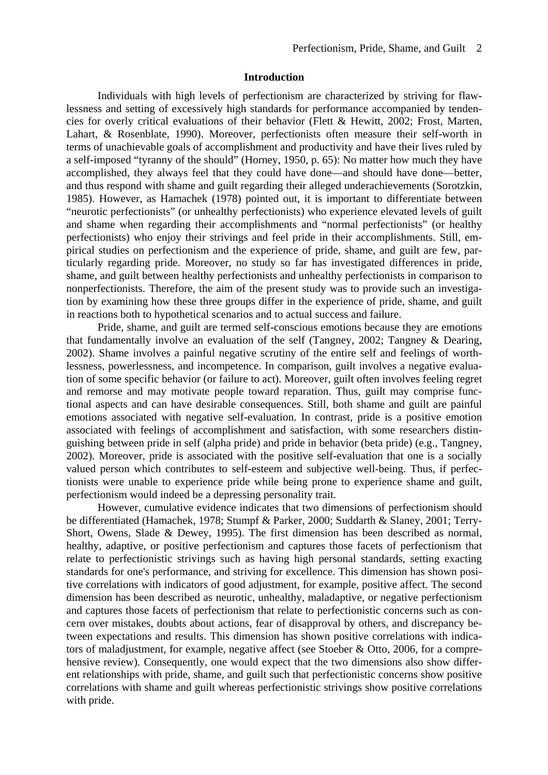#### **Introduction**

Individuals with high levels of perfectionism are characterized by striving for flawlessness and setting of excessively high standards for performance accompanied by tendencies for overly critical evaluations of their behavior (Flett & Hewitt, 2002; Frost, Marten, Lahart, & Rosenblate, 1990). Moreover, perfectionists often measure their self-worth in terms of unachievable goals of accomplishment and productivity and have their lives ruled by a self-imposed "tyranny of the should" (Horney, 1950, p. 65): No matter how much they have accomplished, they always feel that they could have done—and should have done—better, and thus respond with shame and guilt regarding their alleged underachievements (Sorotzkin, 1985). However, as Hamachek (1978) pointed out, it is important to differentiate between "neurotic perfectionists" (or unhealthy perfectionists) who experience elevated levels of guilt and shame when regarding their accomplishments and "normal perfectionists" (or healthy perfectionists) who enjoy their strivings and feel pride in their accomplishments. Still, empirical studies on perfectionism and the experience of pride, shame, and guilt are few, particularly regarding pride. Moreover, no study so far has investigated differences in pride, shame, and guilt between healthy perfectionists and unhealthy perfectionists in comparison to nonperfectionists. Therefore, the aim of the present study was to provide such an investigation by examining how these three groups differ in the experience of pride, shame, and guilt in reactions both to hypothetical scenarios and to actual success and failure.

Pride, shame, and guilt are termed self-conscious emotions because they are emotions that fundamentally involve an evaluation of the self (Tangney, 2002; Tangney & Dearing, 2002). Shame involves a painful negative scrutiny of the entire self and feelings of worthlessness, powerlessness, and incompetence. In comparison, guilt involves a negative evaluation of some specific behavior (or failure to act). Moreover, guilt often involves feeling regret and remorse and may motivate people toward reparation. Thus, guilt may comprise functional aspects and can have desirable consequences. Still, both shame and guilt are painful emotions associated with negative self-evaluation. In contrast, pride is a positive emotion associated with feelings of accomplishment and satisfaction, with some researchers distinguishing between pride in self (alpha pride) and pride in behavior (beta pride) (e.g., Tangney, 2002). Moreover, pride is associated with the positive self-evaluation that one is a socially valued person which contributes to self-esteem and subjective well-being. Thus, if perfectionists were unable to experience pride while being prone to experience shame and guilt, perfectionism would indeed be a depressing personality trait.

However, cumulative evidence indicates that two dimensions of perfectionism should be differentiated (Hamachek, 1978; Stumpf & Parker, 2000; Suddarth & Slaney, 2001; Terry-Short, Owens, Slade & Dewey, 1995). The first dimension has been described as normal, healthy, adaptive, or positive perfectionism and captures those facets of perfectionism that relate to perfectionistic strivings such as having high personal standards, setting exacting standards for one's performance, and striving for excellence. This dimension has shown positive correlations with indicators of good adjustment, for example, positive affect. The second dimension has been described as neurotic, unhealthy, maladaptive, or negative perfectionism and captures those facets of perfectionism that relate to perfectionistic concerns such as concern over mistakes, doubts about actions, fear of disapproval by others, and discrepancy between expectations and results. This dimension has shown positive correlations with indicators of maladjustment, for example, negative affect (see Stoeber & Otto, 2006, for a comprehensive review). Consequently, one would expect that the two dimensions also show different relationships with pride, shame, and guilt such that perfectionistic concerns show positive correlations with shame and guilt whereas perfectionistic strivings show positive correlations with pride.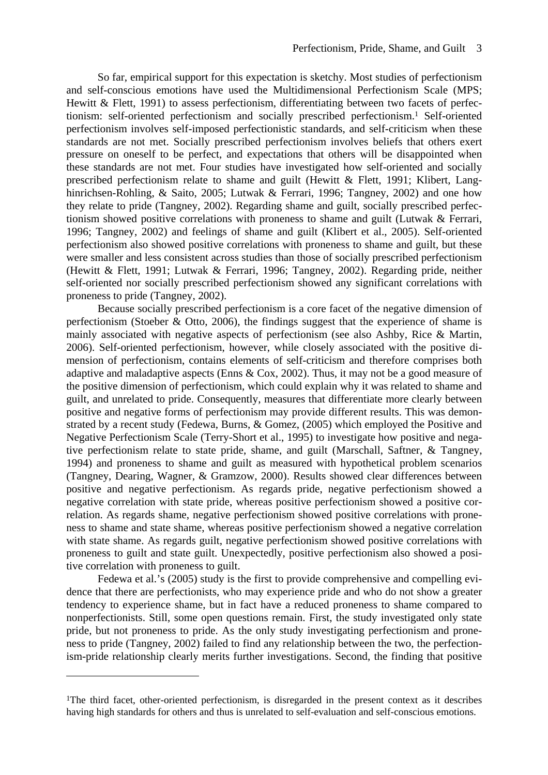So far, empirical support for this expectation is sketchy. Most studies of perfectionism and self-conscious emotions have used the Multidimensional Perfectionism Scale (MPS; Hewitt & Flett, 1991) to assess perfectionism, differentiating between two facets of perfectionism: self-oriented perfectionism and socially prescribed perfectionism.<sup>1</sup> Self-oriented perfectionism involves self-imposed perfectionistic standards, and self-criticism when these standards are not met. Socially prescribed perfectionism involves beliefs that others exert pressure on oneself to be perfect, and expectations that others will be disappointed when these standards are not met. Four studies have investigated how self-oriented and socially prescribed perfectionism relate to shame and guilt (Hewitt & Flett, 1991; Klibert, Langhinrichsen-Rohling, & Saito, 2005; Lutwak & Ferrari, 1996; Tangney, 2002) and one how they relate to pride (Tangney, 2002). Regarding shame and guilt, socially prescribed perfectionism showed positive correlations with proneness to shame and guilt (Lutwak & Ferrari, 1996; Tangney, 2002) and feelings of shame and guilt (Klibert et al., 2005). Self-oriented perfectionism also showed positive correlations with proneness to shame and guilt, but these were smaller and less consistent across studies than those of socially prescribed perfectionism (Hewitt & Flett, 1991; Lutwak & Ferrari, 1996; Tangney, 2002). Regarding pride, neither self-oriented nor socially prescribed perfectionism showed any significant correlations with proneness to pride (Tangney, 2002).

Because socially prescribed perfectionism is a core facet of the negative dimension of perfectionism (Stoeber  $\&$  Otto, 2006), the findings suggest that the experience of shame is mainly associated with negative aspects of perfectionism (see also Ashby, Rice & Martin, 2006). Self-oriented perfectionism, however, while closely associated with the positive dimension of perfectionism, contains elements of self-criticism and therefore comprises both adaptive and maladaptive aspects (Enns & Cox, 2002). Thus, it may not be a good measure of the positive dimension of perfectionism, which could explain why it was related to shame and guilt, and unrelated to pride. Consequently, measures that differentiate more clearly between positive and negative forms of perfectionism may provide different results. This was demonstrated by a recent study (Fedewa, Burns, & Gomez, (2005) which employed the Positive and Negative Perfectionism Scale (Terry-Short et al., 1995) to investigate how positive and negative perfectionism relate to state pride, shame, and guilt (Marschall, Saftner, & Tangney, 1994) and proneness to shame and guilt as measured with hypothetical problem scenarios (Tangney, Dearing, Wagner, & Gramzow, 2000). Results showed clear differences between positive and negative perfectionism. As regards pride, negative perfectionism showed a negative correlation with state pride, whereas positive perfectionism showed a positive correlation. As regards shame, negative perfectionism showed positive correlations with proneness to shame and state shame, whereas positive perfectionism showed a negative correlation with state shame. As regards guilt, negative perfectionism showed positive correlations with proneness to guilt and state guilt. Unexpectedly, positive perfectionism also showed a positive correlation with proneness to guilt.

Fedewa et al.'s (2005) study is the first to provide comprehensive and compelling evidence that there are perfectionists, who may experience pride and who do not show a greater tendency to experience shame, but in fact have a reduced proneness to shame compared to nonperfectionists. Still, some open questions remain. First, the study investigated only state pride, but not proneness to pride. As the only study investigating perfectionism and proneness to pride (Tangney, 2002) failed to find any relationship between the two, the perfectionism-pride relationship clearly merits further investigations. Second, the finding that positive

 $\overline{a}$ 

<sup>&</sup>lt;sup>1</sup>The third facet, other-oriented perfectionism, is disregarded in the present context as it describes having high standards for others and thus is unrelated to self-evaluation and self-conscious emotions.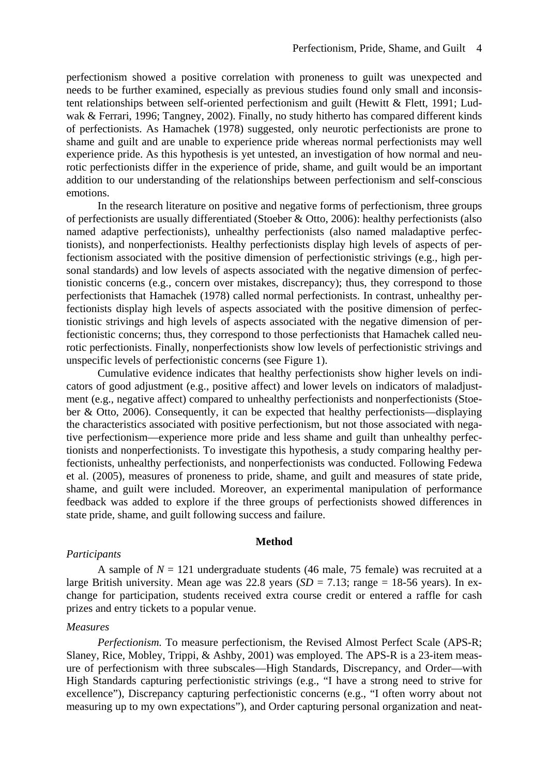perfectionism showed a positive correlation with proneness to guilt was unexpected and needs to be further examined, especially as previous studies found only small and inconsistent relationships between self-oriented perfectionism and guilt (Hewitt & Flett, 1991; Ludwak & Ferrari, 1996; Tangney, 2002). Finally, no study hitherto has compared different kinds of perfectionists. As Hamachek (1978) suggested, only neurotic perfectionists are prone to shame and guilt and are unable to experience pride whereas normal perfectionists may well experience pride. As this hypothesis is yet untested, an investigation of how normal and neurotic perfectionists differ in the experience of pride, shame, and guilt would be an important addition to our understanding of the relationships between perfectionism and self-conscious emotions.

In the research literature on positive and negative forms of perfectionism, three groups of perfectionists are usually differentiated (Stoeber & Otto, 2006): healthy perfectionists (also named adaptive perfectionists), unhealthy perfectionists (also named maladaptive perfectionists), and nonperfectionists. Healthy perfectionists display high levels of aspects of perfectionism associated with the positive dimension of perfectionistic strivings (e.g., high personal standards) and low levels of aspects associated with the negative dimension of perfectionistic concerns (e.g., concern over mistakes, discrepancy); thus, they correspond to those perfectionists that Hamachek (1978) called normal perfectionists. In contrast, unhealthy perfectionists display high levels of aspects associated with the positive dimension of perfectionistic strivings and high levels of aspects associated with the negative dimension of perfectionistic concerns; thus, they correspond to those perfectionists that Hamachek called neurotic perfectionists. Finally, nonperfectionists show low levels of perfectionistic strivings and unspecific levels of perfectionistic concerns (see Figure 1).

Cumulative evidence indicates that healthy perfectionists show higher levels on indicators of good adjustment (e.g., positive affect) and lower levels on indicators of maladjustment (e.g., negative affect) compared to unhealthy perfectionists and nonperfectionists (Stoeber & Otto, 2006). Consequently, it can be expected that healthy perfectionists—displaying the characteristics associated with positive perfectionism, but not those associated with negative perfectionism—experience more pride and less shame and guilt than unhealthy perfectionists and nonperfectionists. To investigate this hypothesis, a study comparing healthy perfectionists, unhealthy perfectionists, and nonperfectionists was conducted. Following Fedewa et al. (2005), measures of proneness to pride, shame, and guilt and measures of state pride, shame, and guilt were included. Moreover, an experimental manipulation of performance feedback was added to explore if the three groups of perfectionists showed differences in state pride, shame, and guilt following success and failure.

#### **Method**

#### *Participants*

A sample of  $N = 121$  undergraduate students (46 male, 75 female) was recruited at a large British university. Mean age was 22.8 years  $(SD = 7.13$ ; range = 18-56 years). In exchange for participation, students received extra course credit or entered a raffle for cash prizes and entry tickets to a popular venue.

#### *Measures*

*Perfectionism.* To measure perfectionism, the Revised Almost Perfect Scale (APS-R; Slaney, Rice, Mobley, Trippi, & Ashby, 2001) was employed. The APS-R is a 23-item measure of perfectionism with three subscales—High Standards, Discrepancy, and Order—with High Standards capturing perfectionistic strivings (e.g., "I have a strong need to strive for excellence"), Discrepancy capturing perfectionistic concerns (e.g., "I often worry about not measuring up to my own expectations"), and Order capturing personal organization and neat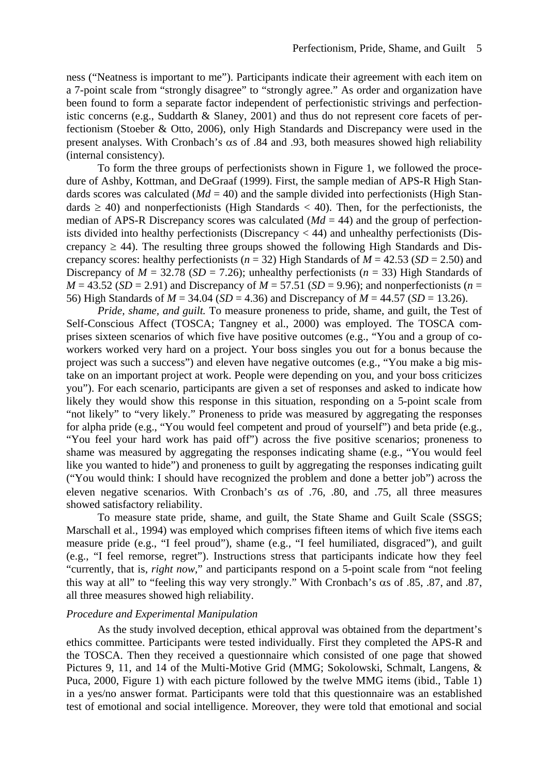ness ("Neatness is important to me"). Participants indicate their agreement with each item on a 7-point scale from "strongly disagree" to "strongly agree." As order and organization have been found to form a separate factor independent of perfectionistic strivings and perfectionistic concerns (e.g., Suddarth & Slaney, 2001) and thus do not represent core facets of perfectionism (Stoeber & Otto, 2006), only High Standards and Discrepancy were used in the present analyses. With Cronbach's  $\alpha$ s of .84 and .93, both measures showed high reliability (internal consistency).

To form the three groups of perfectionists shown in Figure 1, we followed the procedure of Ashby, Kottman, and DeGraaf (1999). First, the sample median of APS-R High Standards scores was calculated  $(Md = 40)$  and the sample divided into perfectionists (High Standards  $\geq$  40) and nonperfectionists (High Standards  $\lt$  40). Then, for the perfectionists, the median of APS-R Discrepancy scores was calculated  $(Md = 44)$  and the group of perfectionists divided into healthy perfectionists (Discrepancy < 44) and unhealthy perfectionists (Discrepancy  $\geq$  44). The resulting three groups showed the following High Standards and Discrepancy scores: healthy perfectionists ( $n = 32$ ) High Standards of  $M = 42.53$  ( $SD = 2.50$ ) and Discrepancy of  $M = 32.78$  (*SD* = 7.26); unhealthy perfectionists ( $n = 33$ ) High Standards of  $M = 43.52$  (*SD* = 2.91) and Discrepancy of  $M = 57.51$  (*SD* = 9.96); and nonperfectionists (*n* = 56) High Standards of *M* = 34.04 (*SD* = 4.36) and Discrepancy of *M* = 44.57 (*SD* = 13.26).

*Pride, shame, and guilt.* To measure proneness to pride, shame, and guilt, the Test of Self-Conscious Affect (TOSCA; Tangney et al., 2000) was employed. The TOSCA comprises sixteen scenarios of which five have positive outcomes (e.g., "You and a group of coworkers worked very hard on a project. Your boss singles you out for a bonus because the project was such a success") and eleven have negative outcomes (e.g., "You make a big mistake on an important project at work. People were depending on you, and your boss criticizes you"). For each scenario, participants are given a set of responses and asked to indicate how likely they would show this response in this situation, responding on a 5-point scale from "not likely" to "very likely." Proneness to pride was measured by aggregating the responses for alpha pride (e.g., "You would feel competent and proud of yourself") and beta pride (e.g., "You feel your hard work has paid off") across the five positive scenarios; proneness to shame was measured by aggregating the responses indicating shame (e.g., "You would feel like you wanted to hide") and proneness to guilt by aggregating the responses indicating guilt ("You would think: I should have recognized the problem and done a better job") across the eleven negative scenarios. With Cronbach's  $\alpha$ s of .76, .80, and .75, all three measures showed satisfactory reliability.

To measure state pride, shame, and guilt, the State Shame and Guilt Scale (SSGS; Marschall et al., 1994) was employed which comprises fifteen items of which five items each measure pride (e.g., "I feel proud"), shame (e.g., "I feel humiliated, disgraced"), and guilt (e.g., "I feel remorse, regret"). Instructions stress that participants indicate how they feel "currently, that is, *right now*," and participants respond on a 5-point scale from "not feeling this way at all" to "feeling this way very strongly." With Cronbach's αs of .85, .87, and .87, all three measures showed high reliability.

#### *Procedure and Experimental Manipulation*

As the study involved deception, ethical approval was obtained from the department's ethics committee. Participants were tested individually. First they completed the APS-R and the TOSCA. Then they received a questionnaire which consisted of one page that showed Pictures 9, 11, and 14 of the Multi-Motive Grid (MMG; Sokolowski, Schmalt, Langens, & Puca, 2000, Figure 1) with each picture followed by the twelve MMG items (ibid., Table 1) in a yes/no answer format. Participants were told that this questionnaire was an established test of emotional and social intelligence. Moreover, they were told that emotional and social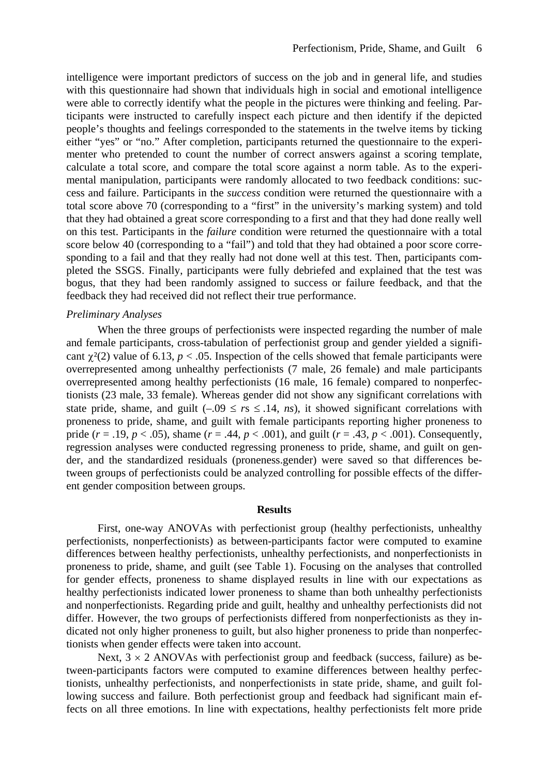intelligence were important predictors of success on the job and in general life, and studies with this questionnaire had shown that individuals high in social and emotional intelligence were able to correctly identify what the people in the pictures were thinking and feeling. Participants were instructed to carefully inspect each picture and then identify if the depicted people's thoughts and feelings corresponded to the statements in the twelve items by ticking either "yes" or "no." After completion, participants returned the questionnaire to the experimenter who pretended to count the number of correct answers against a scoring template, calculate a total score, and compare the total score against a norm table. As to the experimental manipulation, participants were randomly allocated to two feedback conditions: success and failure. Participants in the *success* condition were returned the questionnaire with a total score above 70 (corresponding to a "first" in the university's marking system) and told that they had obtained a great score corresponding to a first and that they had done really well on this test. Participants in the *failure* condition were returned the questionnaire with a total score below 40 (corresponding to a "fail") and told that they had obtained a poor score corresponding to a fail and that they really had not done well at this test. Then, participants completed the SSGS. Finally, participants were fully debriefed and explained that the test was bogus, that they had been randomly assigned to success or failure feedback, and that the feedback they had received did not reflect their true performance.

#### *Preliminary Analyses*

When the three groups of perfectionists were inspected regarding the number of male and female participants, cross-tabulation of perfectionist group and gender yielded a significant  $\chi^2(2)$  value of 6.13,  $p < .05$ . Inspection of the cells showed that female participants were overrepresented among unhealthy perfectionists (7 male, 26 female) and male participants overrepresented among healthy perfectionists (16 male, 16 female) compared to nonperfectionists (23 male, 33 female). Whereas gender did not show any significant correlations with state pride, shame, and guilt  $(-.09 \le r s \le .14, ns)$ , it showed significant correlations with proneness to pride, shame, and guilt with female participants reporting higher proneness to pride (*r* = .19, *p* < .05), shame (*r* = .44, *p* < .001), and guilt (*r* = .43, *p* < .001). Consequently, regression analyses were conducted regressing proneness to pride, shame, and guilt on gender, and the standardized residuals (proneness.gender) were saved so that differences between groups of perfectionists could be analyzed controlling for possible effects of the different gender composition between groups.

#### **Results**

First, one-way ANOVAs with perfectionist group (healthy perfectionists, unhealthy perfectionists, nonperfectionists) as between-participants factor were computed to examine differences between healthy perfectionists, unhealthy perfectionists, and nonperfectionists in proneness to pride, shame, and guilt (see Table 1). Focusing on the analyses that controlled for gender effects, proneness to shame displayed results in line with our expectations as healthy perfectionists indicated lower proneness to shame than both unhealthy perfectionists and nonperfectionists. Regarding pride and guilt, healthy and unhealthy perfectionists did not differ. However, the two groups of perfectionists differed from nonperfectionists as they indicated not only higher proneness to guilt, but also higher proneness to pride than nonperfectionists when gender effects were taken into account.

Next,  $3 \times 2$  ANOVAs with perfectionist group and feedback (success, failure) as between-participants factors were computed to examine differences between healthy perfectionists, unhealthy perfectionists, and nonperfectionists in state pride, shame, and guilt following success and failure. Both perfectionist group and feedback had significant main effects on all three emotions. In line with expectations, healthy perfectionists felt more pride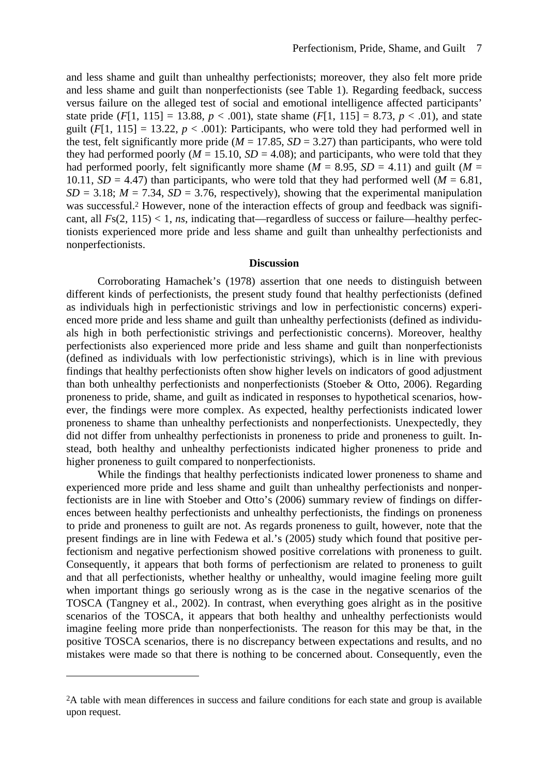and less shame and guilt than unhealthy perfectionists; moreover, they also felt more pride and less shame and guilt than nonperfectionists (see Table 1). Regarding feedback, success versus failure on the alleged test of social and emotional intelligence affected participants' state pride  $(F[1, 115] = 13.88, p < .001)$ , state shame  $(F[1, 115] = 8.73, p < .01)$ , and state guilt  $(F[1, 115] = 13.22, p < .001)$ : Participants, who were told they had performed well in the test, felt significantly more pride ( $M = 17.85$ ,  $SD = 3.27$ ) than participants, who were told they had performed poorly ( $M = 15.10$ ,  $SD = 4.08$ ); and participants, who were told that they had performed poorly, felt significantly more shame ( $M = 8.95$ ,  $SD = 4.11$ ) and guilt ( $M =$ 10.11,  $SD = 4.47$ ) than participants, who were told that they had performed well ( $M = 6.81$ ,  $SD = 3.18$ ;  $M = 7.34$ ,  $SD = 3.76$ , respectively), showing that the experimental manipulation was successful.<sup>2</sup> However, none of the interaction effects of group and feedback was significant, all  $Fs(2, 115) < 1$ , *ns*, indicating that—regardless of success or failure—healthy perfectionists experienced more pride and less shame and guilt than unhealthy perfectionists and nonperfectionists.

#### **Discussion**

Corroborating Hamachek's (1978) assertion that one needs to distinguish between different kinds of perfectionists, the present study found that healthy perfectionists (defined as individuals high in perfectionistic strivings and low in perfectionistic concerns) experienced more pride and less shame and guilt than unhealthy perfectionists (defined as individuals high in both perfectionistic strivings and perfectionistic concerns). Moreover, healthy perfectionists also experienced more pride and less shame and guilt than nonperfectionists (defined as individuals with low perfectionistic strivings), which is in line with previous findings that healthy perfectionists often show higher levels on indicators of good adjustment than both unhealthy perfectionists and nonperfectionists (Stoeber & Otto, 2006). Regarding proneness to pride, shame, and guilt as indicated in responses to hypothetical scenarios, however, the findings were more complex. As expected, healthy perfectionists indicated lower proneness to shame than unhealthy perfectionists and nonperfectionists. Unexpectedly, they did not differ from unhealthy perfectionists in proneness to pride and proneness to guilt. Instead, both healthy and unhealthy perfectionists indicated higher proneness to pride and higher proneness to guilt compared to nonperfectionists.

While the findings that healthy perfectionists indicated lower proneness to shame and experienced more pride and less shame and guilt than unhealthy perfectionists and nonperfectionists are in line with Stoeber and Otto's (2006) summary review of findings on differences between healthy perfectionists and unhealthy perfectionists, the findings on proneness to pride and proneness to guilt are not. As regards proneness to guilt, however, note that the present findings are in line with Fedewa et al.'s (2005) study which found that positive perfectionism and negative perfectionism showed positive correlations with proneness to guilt. Consequently, it appears that both forms of perfectionism are related to proneness to guilt and that all perfectionists, whether healthy or unhealthy, would imagine feeling more guilt when important things go seriously wrong as is the case in the negative scenarios of the TOSCA (Tangney et al., 2002). In contrast, when everything goes alright as in the positive scenarios of the TOSCA, it appears that both healthy and unhealthy perfectionists would imagine feeling more pride than nonperfectionists. The reason for this may be that, in the positive TOSCA scenarios, there is no discrepancy between expectations and results, and no mistakes were made so that there is nothing to be concerned about. Consequently, even the

 $\overline{a}$ 

<sup>2</sup>A table with mean differences in success and failure conditions for each state and group is available upon request.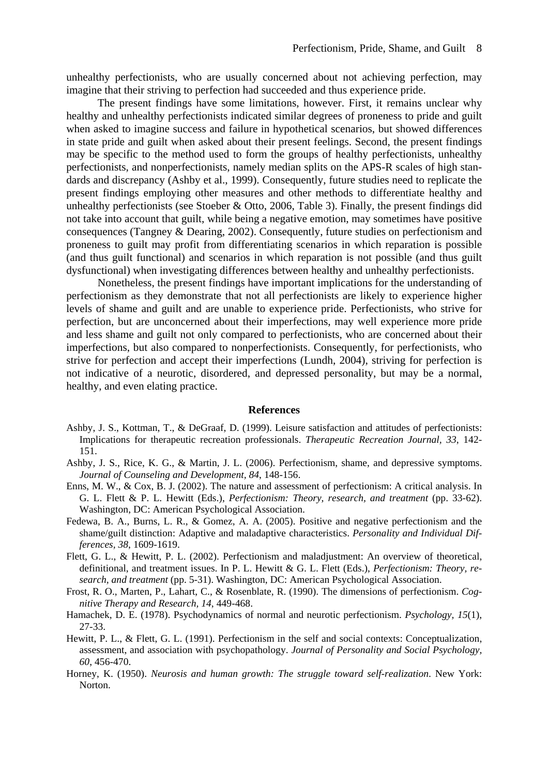unhealthy perfectionists, who are usually concerned about not achieving perfection, may imagine that their striving to perfection had succeeded and thus experience pride.

The present findings have some limitations, however. First, it remains unclear why healthy and unhealthy perfectionists indicated similar degrees of proneness to pride and guilt when asked to imagine success and failure in hypothetical scenarios, but showed differences in state pride and guilt when asked about their present feelings. Second, the present findings may be specific to the method used to form the groups of healthy perfectionists, unhealthy perfectionists, and nonperfectionists, namely median splits on the APS-R scales of high standards and discrepancy (Ashby et al., 1999). Consequently, future studies need to replicate the present findings employing other measures and other methods to differentiate healthy and unhealthy perfectionists (see Stoeber & Otto, 2006, Table 3). Finally, the present findings did not take into account that guilt, while being a negative emotion, may sometimes have positive consequences (Tangney & Dearing, 2002). Consequently, future studies on perfectionism and proneness to guilt may profit from differentiating scenarios in which reparation is possible (and thus guilt functional) and scenarios in which reparation is not possible (and thus guilt dysfunctional) when investigating differences between healthy and unhealthy perfectionists.

Nonetheless, the present findings have important implications for the understanding of perfectionism as they demonstrate that not all perfectionists are likely to experience higher levels of shame and guilt and are unable to experience pride. Perfectionists, who strive for perfection, but are unconcerned about their imperfections, may well experience more pride and less shame and guilt not only compared to perfectionists, who are concerned about their imperfections, but also compared to nonperfectionists. Consequently, for perfectionists, who strive for perfection and accept their imperfections (Lundh, 2004), striving for perfection is not indicative of a neurotic, disordered, and depressed personality, but may be a normal, healthy, and even elating practice.

#### **References**

- Ashby, J. S., Kottman, T., & DeGraaf, D. (1999). Leisure satisfaction and attitudes of perfectionists: Implications for therapeutic recreation professionals. *Therapeutic Recreation Journal, 33*, 142- 151.
- Ashby, J. S., Rice, K. G., & Martin, J. L. (2006). Perfectionism, shame, and depressive symptoms. *Journal of Counseling and Development, 84*, 148-156.
- Enns, M. W., & Cox, B. J. (2002). The nature and assessment of perfectionism: A critical analysis. In G. L. Flett & P. L. Hewitt (Eds.), *Perfectionism: Theory, research, and treatment* (pp. 33-62). Washington, DC: American Psychological Association.
- Fedewa, B. A., Burns, L. R., & Gomez, A. A. (2005). Positive and negative perfectionism and the shame/guilt distinction: Adaptive and maladaptive characteristics. *Personality and Individual Differences, 38*, 1609-1619.
- Flett, G. L., & Hewitt, P. L. (2002). Perfectionism and maladjustment: An overview of theoretical, definitional, and treatment issues. In P. L. Hewitt & G. L. Flett (Eds.), *Perfectionism: Theory, research, and treatment* (pp. 5-31). Washington, DC: American Psychological Association.
- Frost, R. O., Marten, P., Lahart, C., & Rosenblate, R. (1990). The dimensions of perfectionism. *Cognitive Therapy and Research, 14*, 449-468.
- Hamachek, D. E. (1978). Psychodynamics of normal and neurotic perfectionism. *Psychology, 15*(1), 27-33.
- Hewitt, P. L., & Flett, G. L. (1991). Perfectionism in the self and social contexts: Conceptualization, assessment, and association with psychopathology. *Journal of Personality and Social Psychology, 60*, 456-470.
- Horney, K. (1950). *Neurosis and human growth: The struggle toward self-realization*. New York: Norton.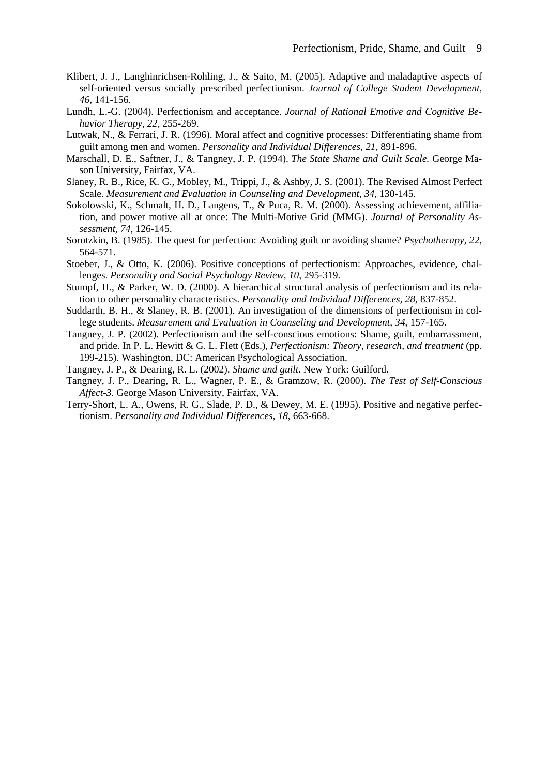- Klibert, J. J., Langhinrichsen-Rohling, J., & Saito, M. (2005). Adaptive and maladaptive aspects of self-oriented versus socially prescribed perfectionism. *Journal of College Student Development, 46*, 141-156.
- Lundh, L.-G. (2004). Perfectionism and acceptance. *Journal of Rational Emotive and Cognitive Behavior Therapy, 22*, 255-269.
- Lutwak, N., & Ferrari, J. R. (1996). Moral affect and cognitive processes: Differentiating shame from guilt among men and women. *Personality and Individual Differences, 21*, 891-896.
- Marschall, D. E., Saftner, J., & Tangney, J. P. (1994). *The State Shame and Guilt Scale.* George Mason University, Fairfax, VA.
- Slaney, R. B., Rice, K. G., Mobley, M., Trippi, J., & Ashby, J. S. (2001). The Revised Almost Perfect Scale. *Measurement and Evaluation in Counseling and Development, 34*, 130-145.
- Sokolowski, K., Schmalt, H. D., Langens, T., & Puca, R. M. (2000). Assessing achievement, affiliation, and power motive all at once: The Multi-Motive Grid (MMG). *Journal of Personality Assessment, 74*, 126-145.
- Sorotzkin, B. (1985). The quest for perfection: Avoiding guilt or avoiding shame? *Psychotherapy, 22*, 564-571.
- Stoeber, J., & Otto, K. (2006). Positive conceptions of perfectionism: Approaches, evidence, challenges. *Personality and Social Psychology Review, 10, 295-319.*
- Stumpf, H., & Parker, W. D. (2000). A hierarchical structural analysis of perfectionism and its relation to other personality characteristics. *Personality and Individual Differences, 28*, 837-852.
- Suddarth, B. H., & Slaney, R. B. (2001). An investigation of the dimensions of perfectionism in college students. *Measurement and Evaluation in Counseling and Development, 34*, 157-165.
- Tangney, J. P. (2002). Perfectionism and the self-conscious emotions: Shame, guilt, embarrassment, and pride. In P. L. Hewitt & G. L. Flett (Eds.), *Perfectionism: Theory, research, and treatment* (pp. 199-215). Washington, DC: American Psychological Association.
- Tangney, J. P., & Dearing, R. L. (2002). *Shame and guilt*. New York: Guilford.
- Tangney, J. P., Dearing, R. L., Wagner, P. E., & Gramzow, R. (2000). *The Test of Self-Conscious Affect-3.* George Mason University, Fairfax, VA.
- Terry-Short, L. A., Owens, R. G., Slade, P. D., & Dewey, M. E. (1995). Positive and negative perfectionism. *Personality and Individual Differences, 18*, 663-668.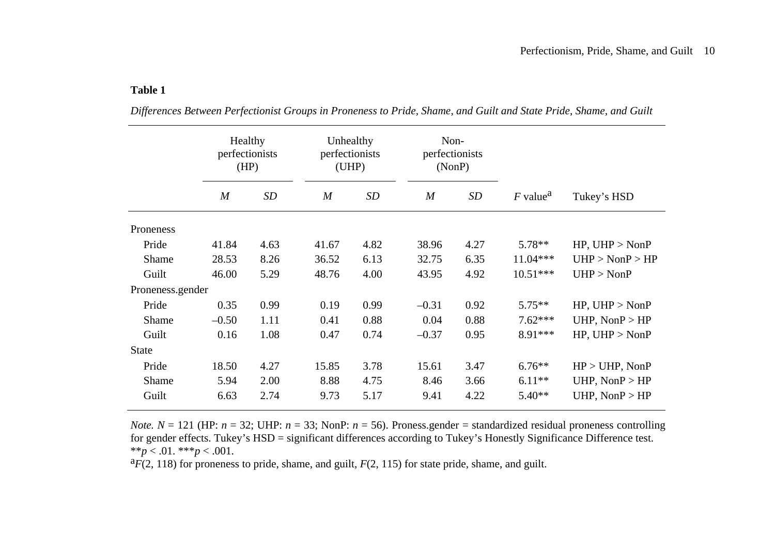#### **Table 1**

|                  | Healthy<br>perfectionists<br>(HP) |      | Unhealthy<br>perfectionists<br>(UHP) |           | Non-<br>perfectionists<br>(NonP) |      |                        |                            |
|------------------|-----------------------------------|------|--------------------------------------|-----------|----------------------------------|------|------------------------|----------------------------|
|                  | M                                 | SD   | $\overline{M}$                       | <b>SD</b> | $\overline{M}$                   | SD   | $F$ value <sup>a</sup> | Tukey's HSD                |
| Proneness        |                                   |      |                                      |           |                                  |      |                        |                            |
| Pride            | 41.84                             | 4.63 | 41.67                                | 4.82      | 38.96                            | 4.27 | $5.78**$               | $HP$ , $UHP > NonP$        |
| Shame            | 28.53                             | 8.26 | 36.52                                | 6.13      | 32.75                            | 6.35 | $11.04***$             | $UHP > \text{NonP} > HP$   |
| Guilt            | 46.00                             | 5.29 | 48.76                                | 4.00      | 43.95                            | 4.92 | $10.51***$             | $UHP > \text{NonP}$        |
| Proneness.gender |                                   |      |                                      |           |                                  |      |                        |                            |
| Pride            | 0.35                              | 0.99 | 0.19                                 | 0.99      | $-0.31$                          | 0.92 | $5.75***$              | $HP$ , $UHP > \text{NonP}$ |
| Shame            | $-0.50$                           | 1.11 | 0.41                                 | 0.88      | 0.04                             | 0.88 | $7.62***$              | UHP, $NonP > HP$           |
| Guilt            | 0.16                              | 1.08 | 0.47                                 | 0.74      | $-0.37$                          | 0.95 | 8.91***                | $HP$ , $UHP > \text{Non}P$ |
| <b>State</b>     |                                   |      |                                      |           |                                  |      |                        |                            |
| Pride            | 18.50                             | 4.27 | 15.85                                | 3.78      | 15.61                            | 3.47 | $6.76**$               | $HP > UHP$ , NonP          |
| Shame            | 5.94                              | 2.00 | 8.88                                 | 4.75      | 8.46                             | 3.66 | $6.11**$               | UHP, $NonP > HP$           |
| Guilt            | 6.63                              | 2.74 | 9.73                                 | 5.17      | 9.41                             | 4.22 | $5.40**$               | UHP, $NonP > HP$           |

*Differences Between Perfectionist Groups in Proneness to Pride, Shame, and Guilt and State Pride, Shame, and Guilt* 

*Note.*  $N = 121$  (HP:  $n = 32$ ; UHP:  $n = 33$ ; NonP:  $n = 56$ ). Proness.gender = standardized residual proneness controlling for gender effects. Tukey's HSD = significant differences according to Tukey's Honestly Significance Difference test. \*\**p* < .01. \*\*\**p* < .001.

a*F*(2, 118) for proneness to pride, shame, and guilt, *F*(2, 115) for state pride, shame, and guilt.